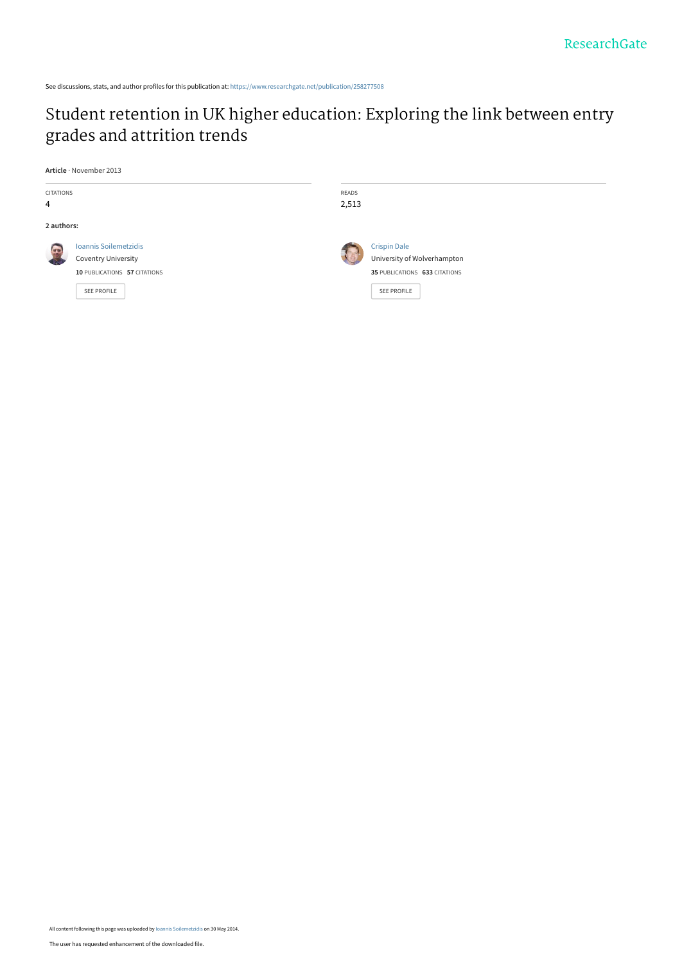See discussions, stats, and author profiles for this publication at: [https://www.researchgate.net/publication/258277508](https://www.researchgate.net/publication/258277508_Student_retention_in_UK_higher_education_Exploring_the_link_between_entry_grades_and_attrition_trends?enrichId=rgreq-e692ac92e8c0315144d1ab713ea57e2f-XXX&enrichSource=Y292ZXJQYWdlOzI1ODI3NzUwODtBUzoxMDI0NDI1NTc1MDk2MzlAMTQwMTQzNTYxODAwOQ%3D%3D&el=1_x_2&_esc=publicationCoverPdf)

# [Student retention in UK higher education: Exploring the link between entry](https://www.researchgate.net/publication/258277508_Student_retention_in_UK_higher_education_Exploring_the_link_between_entry_grades_and_attrition_trends?enrichId=rgreq-e692ac92e8c0315144d1ab713ea57e2f-XXX&enrichSource=Y292ZXJQYWdlOzI1ODI3NzUwODtBUzoxMDI0NDI1NTc1MDk2MzlAMTQwMTQzNTYxODAwOQ%3D%3D&el=1_x_3&_esc=publicationCoverPdf) grades and attrition trends

**Article** · November 2013

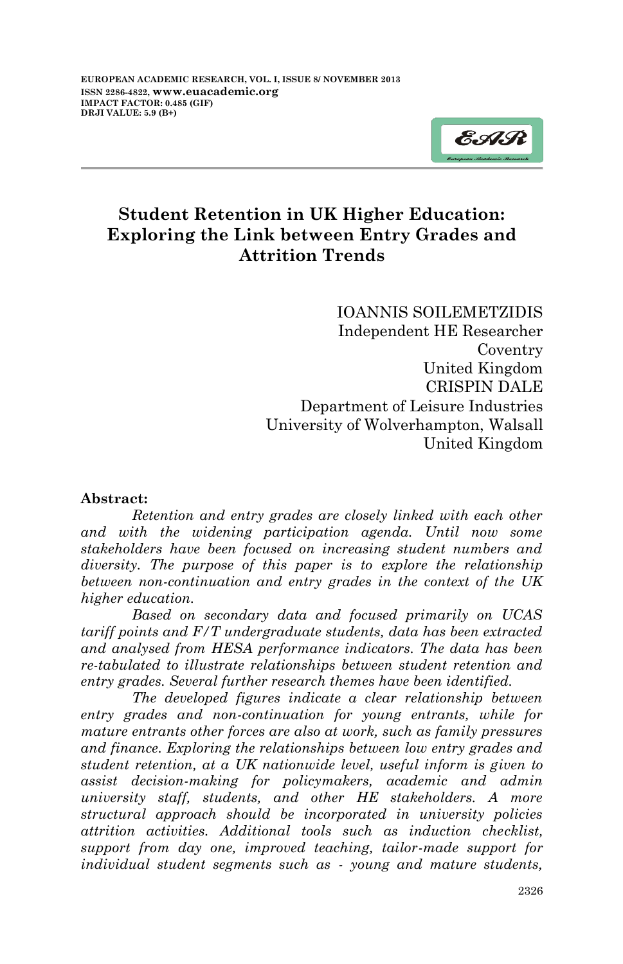

Į

## **Student Retention in UK Higher Education: Exploring the Link between Entry Grades and Attrition Trends**

IOANNIS SOILEMETZIDIS Independent HE Researcher Coventry United Kingdom CRISPIN DALE Department of Leisure Industries University of Wolverhampton, Walsall United Kingdom

#### **Abstract:**

*Retention and entry grades are closely linked with each other and with the widening participation agenda. Until now some stakeholders have been focused on increasing student numbers and diversity. The purpose of this paper is to explore the relationship between non-continuation and entry grades in the context of the UK higher education.*

*Based on secondary data and focused primarily on UCAS tariff points and F/T undergraduate students, data has been extracted and analysed from HESA performance indicators. The data has been re-tabulated to illustrate relationships between student retention and entry grades. Several further research themes have been identified.*

*The developed figures indicate a clear relationship between entry grades and non-continuation for young entrants, while for mature entrants other forces are also at work, such as family pressures and finance. Exploring the relationships between low entry grades and student retention, at a UK nationwide level, useful inform is given to assist decision-making for policymakers, academic and admin university staff, students, and other HE stakeholders. A more structural approach should be incorporated in university policies attrition activities. Additional tools such as induction checklist, support from day one, improved teaching, tailor-made support for individual student segments such as - young and mature students,*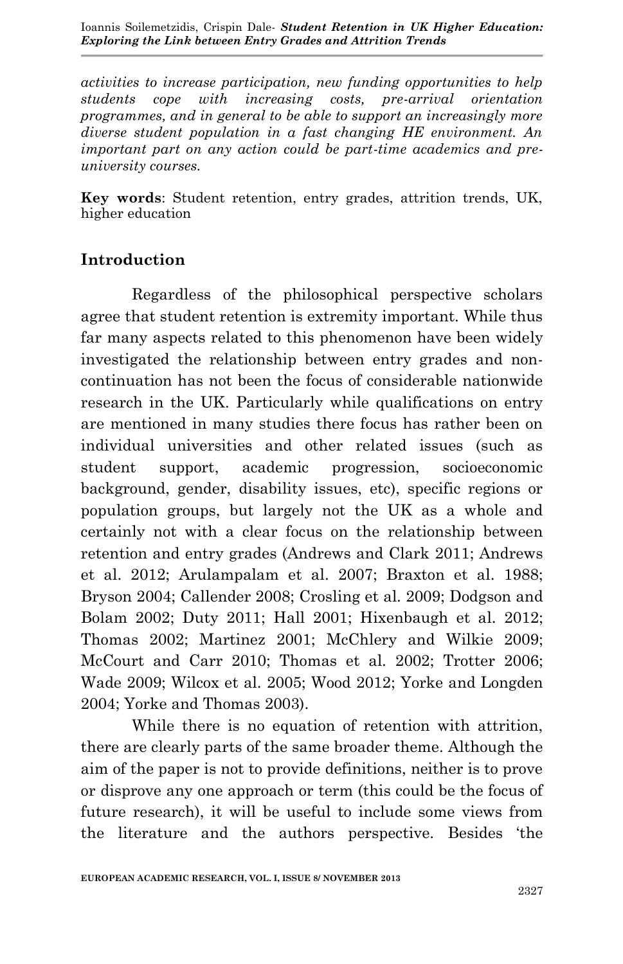Ioannis Soilemetzidis, Crispin Dale- *Student Retention in UK Higher Education: Exploring the Link between Entry Grades and Attrition Trends*

*activities to increase participation, new funding opportunities to help students cope with increasing costs, pre-arrival orientation programmes, and in general to be able to support an increasingly more diverse student population in a fast changing HE environment. An important part on any action could be part-time academics and preuniversity courses.* 

**Key words**: Student retention, entry grades, attrition trends, UK, higher education

## **Introduction**

Regardless of the philosophical perspective scholars agree that student retention is extremity important. While thus far many aspects related to this phenomenon have been widely investigated the relationship between entry grades and noncontinuation has not been the focus of considerable nationwide research in the UK. Particularly while qualifications on entry are mentioned in many studies there focus has rather been on individual universities and other related issues (such as student support, academic progression, socioeconomic background, gender, disability issues, etc), specific regions or population groups, but largely not the UK as a whole and certainly not with a clear focus on the relationship between retention and entry grades (Andrews and Clark 2011; Andrews et al. 2012; Arulampalam et al. 2007; Braxton et al. 1988; Bryson 2004; Callender 2008; Crosling et al. 2009; Dodgson and Bolam 2002; Duty 2011; Hall 2001; Hixenbaugh et al. 2012; Thomas 2002; Martinez 2001; McChlery and Wilkie 2009; McCourt and Carr 2010; Thomas et al. 2002; Trotter 2006; Wade 2009; Wilcox et al. 2005; Wood 2012; Yorke and Longden 2004; Yorke and Thomas 2003).

While there is no equation of retention with attrition, there are clearly parts of the same broader theme. Although the aim of the paper is not to provide definitions, neither is to prove or disprove any one approach or term (this could be the focus of future research), it will be useful to include some views from the literature and the authors perspective. Besides 'the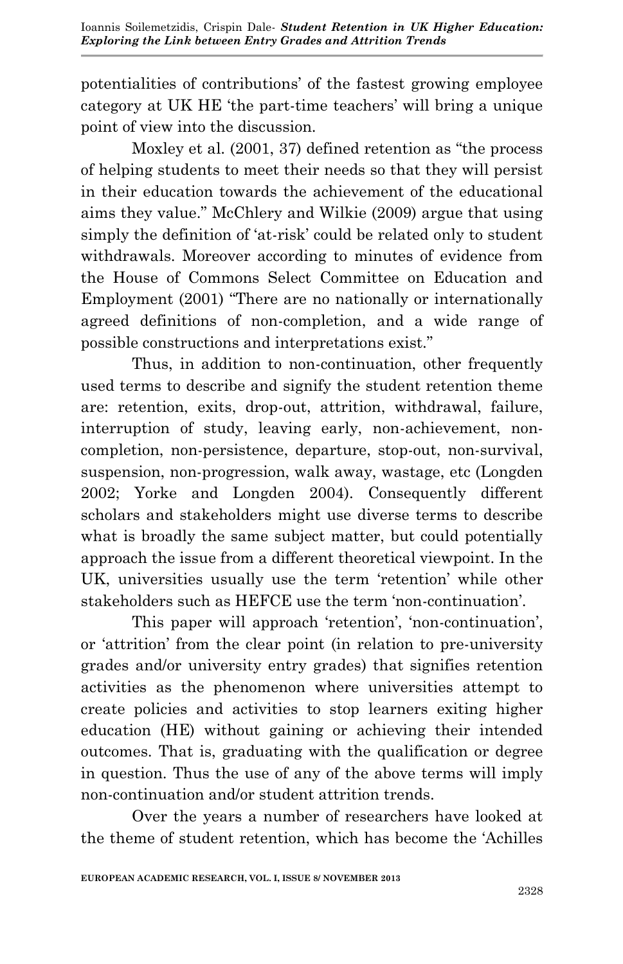potentialities of contributions' of the fastest growing employee category at UK HE 'the part-time teachers' will bring a unique point of view into the discussion.

Moxley et al. (2001, 37) defined retention as "the process of helping students to meet their needs so that they will persist in their education towards the achievement of the educational aims they value." McChlery and Wilkie (2009) argue that using simply the definition of 'at-risk' could be related only to student withdrawals. Moreover according to minutes of evidence from the House of Commons Select Committee on Education and Employment (2001) "There are no nationally or internationally agreed definitions of non-completion, and a wide range of possible constructions and interpretations exist."

Thus, in addition to non-continuation, other frequently used terms to describe and signify the student retention theme are: retention, exits, drop-out, attrition, withdrawal, failure, interruption of study, leaving early, non-achievement, noncompletion, non-persistence, departure, stop-out, non-survival, suspension, non-progression, walk away, wastage, etc (Longden 2002; Yorke and Longden 2004). Consequently different scholars and stakeholders might use diverse terms to describe what is broadly the same subject matter, but could potentially approach the issue from a different theoretical viewpoint. In the UK, universities usually use the term 'retention' while other stakeholders such as HEFCE use the term 'non-continuation'.

This paper will approach 'retention', 'non-continuation', or 'attrition' from the clear point (in relation to pre-university grades and/or university entry grades) that signifies retention activities as the phenomenon where universities attempt to create policies and activities to stop learners exiting higher education (HE) without gaining or achieving their intended outcomes. That is, graduating with the qualification or degree in question. Thus the use of any of the above terms will imply non-continuation and/or student attrition trends.

Over the years a number of researchers have looked at the theme of student retention, which has become the 'Achilles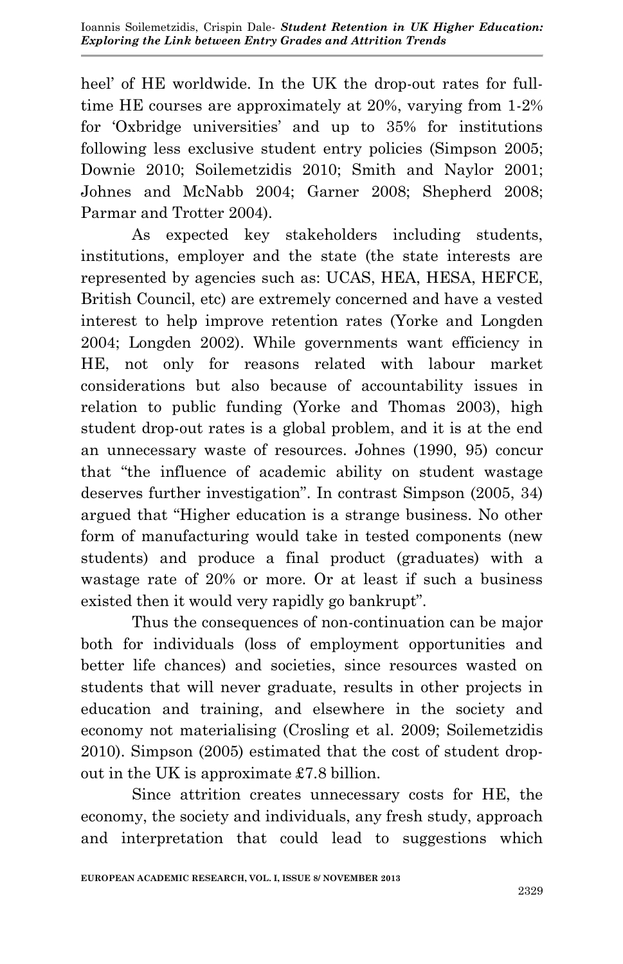heel' of HE worldwide. In the UK the drop-out rates for fulltime HE courses are approximately at 20%, varying from 1-2% for 'Oxbridge universities' and up to 35% for institutions following less exclusive student entry policies (Simpson 2005; Downie 2010; Soilemetzidis 2010; Smith and Naylor 2001; Johnes and McNabb 2004; Garner 2008; Shepherd 2008; Parmar and Trotter 2004).

As expected key stakeholders including students, institutions, employer and the state (the state interests are represented by agencies such as: UCAS, HEA, HESA, HEFCE, British Council, etc) are extremely concerned and have a vested interest to help improve retention rates (Yorke and Longden 2004; Longden 2002). While governments want efficiency in HE, not only for reasons related with labour market considerations but also because of accountability issues in relation to public funding (Yorke and Thomas 2003), high student drop-out rates is a global problem, and it is at the end an unnecessary waste of resources. Johnes (1990, 95) concur that "the influence of academic ability on student wastage deserves further investigation". In contrast Simpson (2005, 34) argued that "Higher education is a strange business. No other form of manufacturing would take in tested components (new students) and produce a final product (graduates) with a wastage rate of 20% or more. Or at least if such a business existed then it would very rapidly go bankrupt".

Thus the consequences of non-continuation can be major both for individuals (loss of employment opportunities and better life chances) and societies, since resources wasted on students that will never graduate, results in other projects in education and training, and elsewhere in the society and economy not materialising (Crosling et al. 2009; Soilemetzidis 2010). Simpson (2005) estimated that the cost of student dropout in the UK is approximate £7.8 billion.

Since attrition creates unnecessary costs for HE, the economy, the society and individuals, any fresh study, approach and interpretation that could lead to suggestions which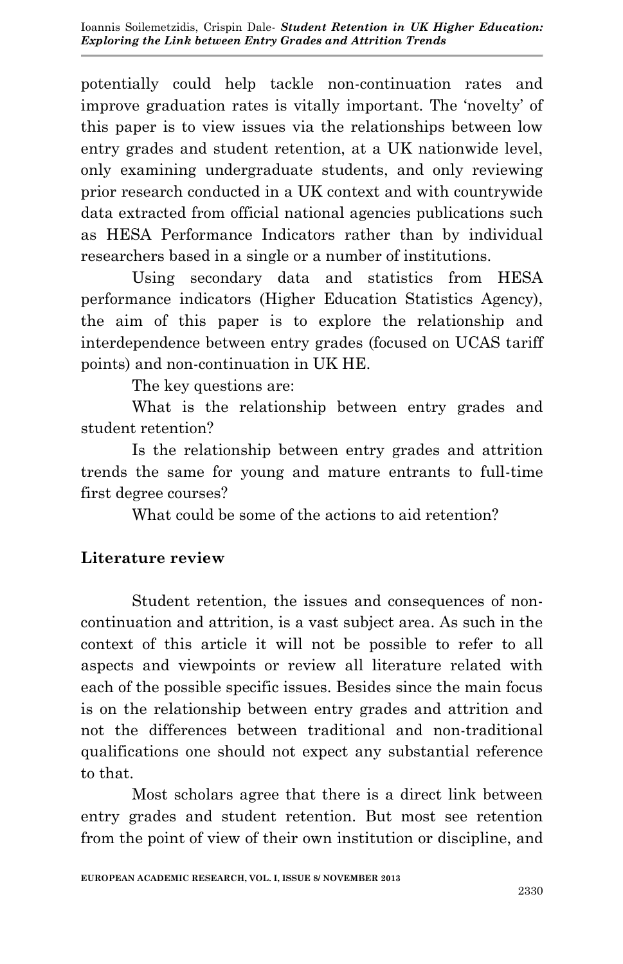potentially could help tackle non-continuation rates and improve graduation rates is vitally important. The 'novelty' of this paper is to view issues via the relationships between low entry grades and student retention, at a UK nationwide level, only examining undergraduate students, and only reviewing prior research conducted in a UK context and with countrywide data extracted from official national agencies publications such as HESA Performance Indicators rather than by individual researchers based in a single or a number of institutions.

Using secondary data and statistics from HESA performance indicators (Higher Education Statistics Agency), the aim of this paper is to explore the relationship and interdependence between entry grades (focused on UCAS tariff points) and non-continuation in UK HE.

The key questions are:

What is the relationship between entry grades and student retention?

Is the relationship between entry grades and attrition trends the same for young and mature entrants to full-time first degree courses?

What could be some of the actions to aid retention?

#### **Literature review**

Student retention, the issues and consequences of noncontinuation and attrition, is a vast subject area. As such in the context of this article it will not be possible to refer to all aspects and viewpoints or review all literature related with each of the possible specific issues. Besides since the main focus is on the relationship between entry grades and attrition and not the differences between traditional and non-traditional qualifications one should not expect any substantial reference to that.

Most scholars agree that there is a direct link between entry grades and student retention. But most see retention from the point of view of their own institution or discipline, and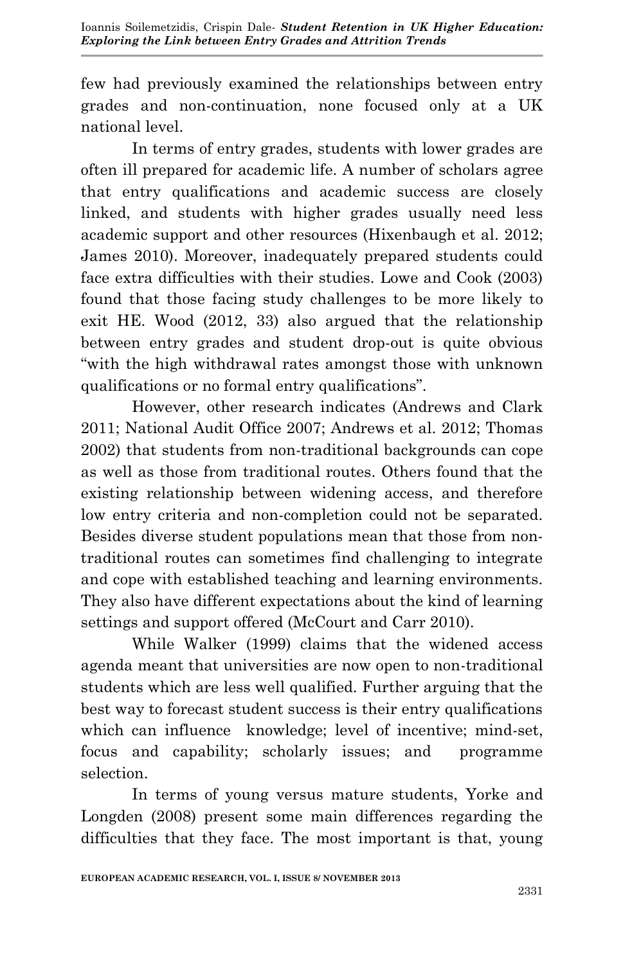few had previously examined the relationships between entry grades and non-continuation, none focused only at a UK national level.

In terms of entry grades, students with lower grades are often ill prepared for academic life. A number of scholars agree that entry qualifications and academic success are closely linked, and students with higher grades usually need less academic support and other resources (Hixenbaugh et al. 2012; James 2010). Moreover, inadequately prepared students could face extra difficulties with their studies. Lowe and Cook (2003) found that those facing study challenges to be more likely to exit HE. Wood (2012, 33) also argued that the relationship between entry grades and student drop-out is quite obvious "with the high withdrawal rates amongst those with unknown qualifications or no formal entry qualifications".

However, other research indicates (Andrews and Clark 2011; National Audit Office 2007; Andrews et al. 2012; Thomas 2002) that students from non-traditional backgrounds can cope as well as those from traditional routes. Others found that the existing relationship between widening access, and therefore low entry criteria and non-completion could not be separated. Besides diverse student populations mean that those from nontraditional routes can sometimes find challenging to integrate and cope with established teaching and learning environments. They also have different expectations about the kind of learning settings and support offered (McCourt and Carr 2010).

While Walker (1999) claims that the widened access agenda meant that universities are now open to non-traditional students which are less well qualified. Further arguing that the best way to forecast student success is their entry qualifications which can influence knowledge; level of incentive; mind-set, focus and capability; scholarly issues; and programme selection.

In terms of young versus mature students, Yorke and Longden (2008) present some main differences regarding the difficulties that they face. The most important is that, young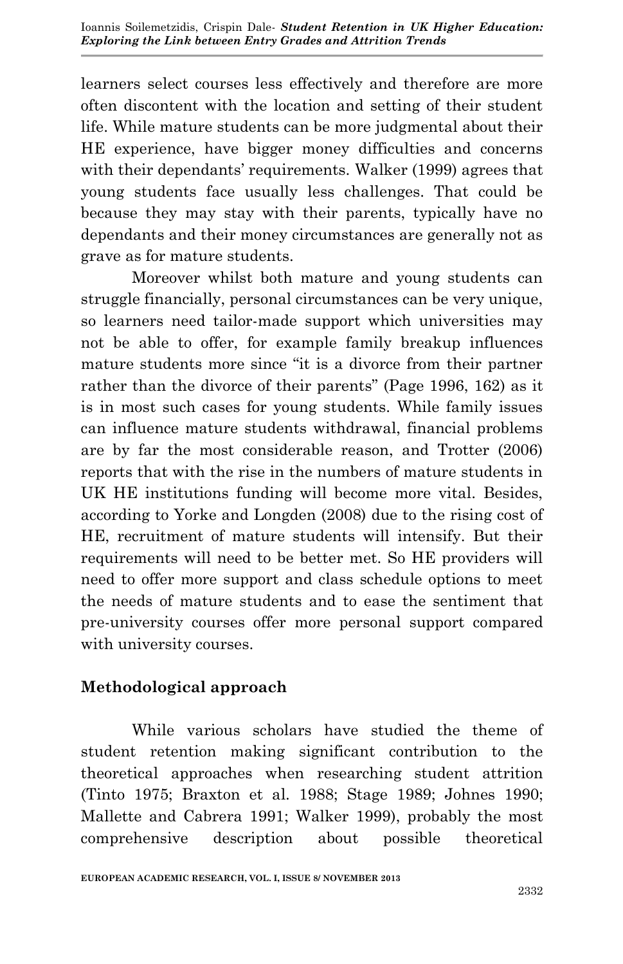learners select courses less effectively and therefore are more often discontent with the location and setting of their student life. While mature students can be more judgmental about their HE experience, have bigger money difficulties and concerns with their dependants' requirements. Walker (1999) agrees that young students face usually less challenges. That could be because they may stay with their parents, typically have no dependants and their money circumstances are generally not as grave as for mature students.

Moreover whilst both mature and young students can struggle financially, personal circumstances can be very unique, so learners need tailor-made support which universities may not be able to offer, for example family breakup influences mature students more since "it is a divorce from their partner rather than the divorce of their parents" (Page 1996, 162) as it is in most such cases for young students. While family issues can influence mature students withdrawal, financial problems are by far the most considerable reason, and Trotter (2006) reports that with the rise in the numbers of mature students in UK HE institutions funding will become more vital. Besides, according to Yorke and Longden (2008) due to the rising cost of HE, recruitment of mature students will intensify. But their requirements will need to be better met. So HE providers will need to offer more support and class schedule options to meet the needs of mature students and to ease the sentiment that pre-university courses offer more personal support compared with university courses.

## **Methodological approach**

While various scholars have studied the theme of student retention making significant contribution to the theoretical approaches when researching student attrition (Tinto 1975; Braxton et al. 1988; Stage 1989; Johnes 1990; Mallette and Cabrera 1991; Walker 1999), probably the most comprehensive description about possible theoretical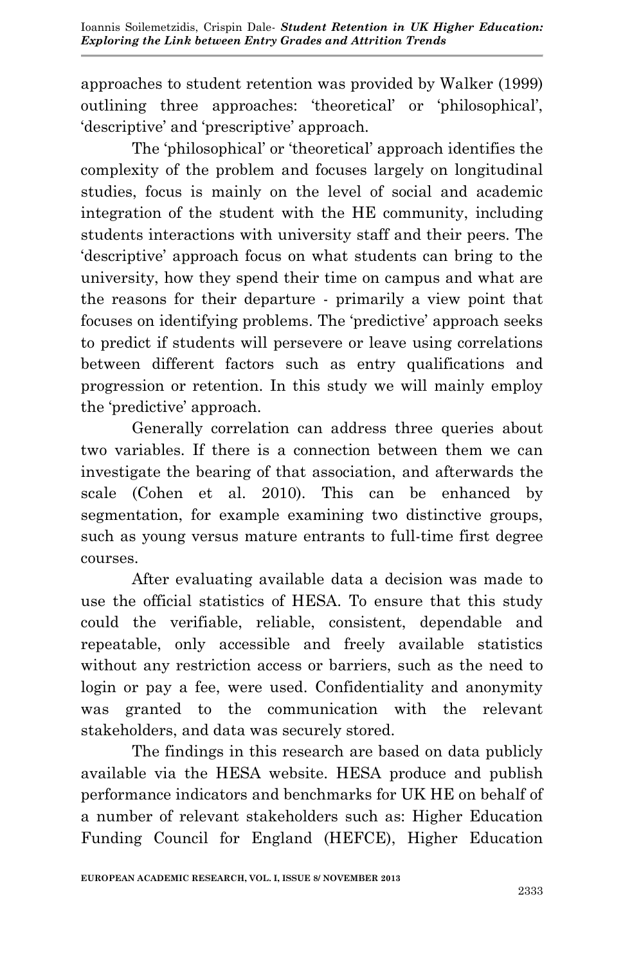approaches to student retention was provided by Walker (1999) outlining three approaches: 'theoretical' or 'philosophical', 'descriptive' and 'prescriptive' approach.

The 'philosophical' or 'theoretical' approach identifies the complexity of the problem and focuses largely on longitudinal studies, focus is mainly on the level of social and academic integration of the student with the HE community, including students interactions with university staff and their peers. The 'descriptive' approach focus on what students can bring to the university, how they spend their time on campus and what are the reasons for their departure - primarily a view point that focuses on identifying problems. The 'predictive' approach seeks to predict if students will persevere or leave using correlations between different factors such as entry qualifications and progression or retention. In this study we will mainly employ the 'predictive' approach.

Generally correlation can address three queries about two variables. If there is a connection between them we can investigate the bearing of that association, and afterwards the scale (Cohen et al. 2010). This can be enhanced by segmentation, for example examining two distinctive groups, such as young versus mature entrants to full-time first degree courses.

After evaluating available data a decision was made to use the official statistics of HESA. To ensure that this study could the verifiable, reliable, consistent, dependable and repeatable, only accessible and freely available statistics without any restriction access or barriers, such as the need to login or pay a fee, were used. Confidentiality and anonymity was granted to the communication with the relevant stakeholders, and data was securely stored.

The findings in this research are based on data publicly available via the HESA website. HESA produce and publish performance indicators and benchmarks for UK HE on behalf of a number of relevant stakeholders such as: Higher Education Funding Council for England (HEFCE), Higher Education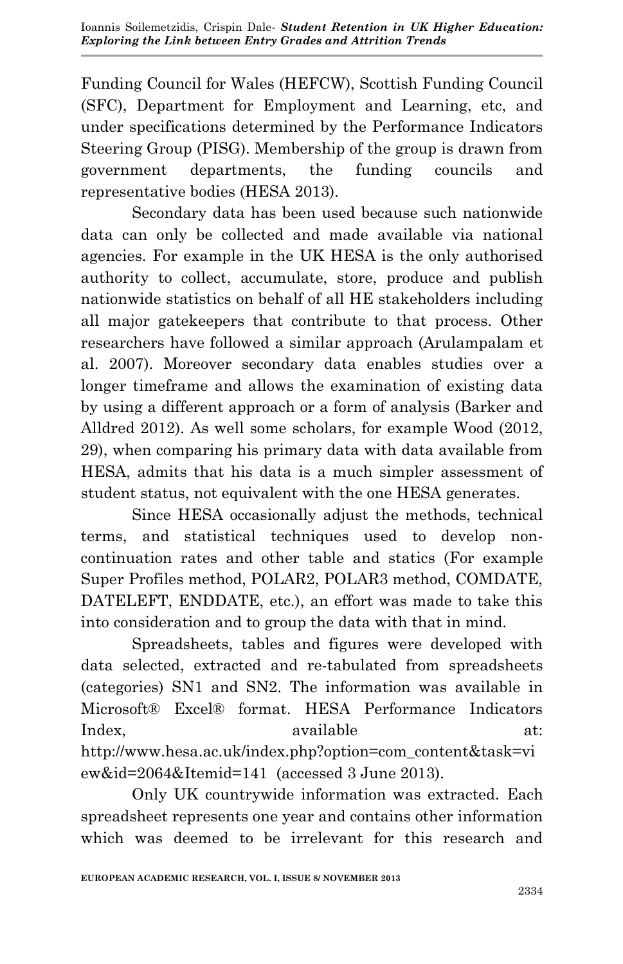Funding Council for Wales (HEFCW), Scottish Funding Council (SFC), Department for Employment and Learning, etc, and under specifications determined by the Performance Indicators Steering Group (PISG). Membership of the group is drawn from government departments, the funding councils and representative bodies (HESA 2013).

Secondary data has been used because such nationwide data can only be collected and made available via national agencies. For example in the UK HESA is the only authorised authority to collect, accumulate, store, produce and publish nationwide statistics on behalf of all HE stakeholders including all major gatekeepers that contribute to that process. Other researchers have followed a similar approach (Arulampalam et al. 2007). Moreover secondary data enables studies over a longer timeframe and allows the examination of existing data by using a different approach or a form of analysis (Barker and Alldred 2012). As well some scholars, for example Wood (2012, 29), when comparing his primary data with data available from HESA, admits that his data is a much simpler assessment of student status, not equivalent with the one HESA generates.

Since HESA occasionally adjust the methods, technical terms, and statistical techniques used to develop noncontinuation rates and other table and statics (For example Super Profiles method, POLAR2, POLAR3 method, COMDATE, DATELEFT, ENDDATE, etc.), an effort was made to take this into consideration and to group the data with that in mind.

Spreadsheets, tables and figures were developed with data selected, extracted and re-tabulated from spreadsheets (categories) SN1 and SN2. The information was available in Microsoft® Excel® format. HESA Performance Indicators Index. available at: http://www.hesa.ac.uk/index.php?option=com\_content&task=vi ew&id=2064&Itemid=141 (accessed 3 June 2013).

Only UK countrywide information was extracted. Each spreadsheet represents one year and contains other information which was deemed to be irrelevant for this research and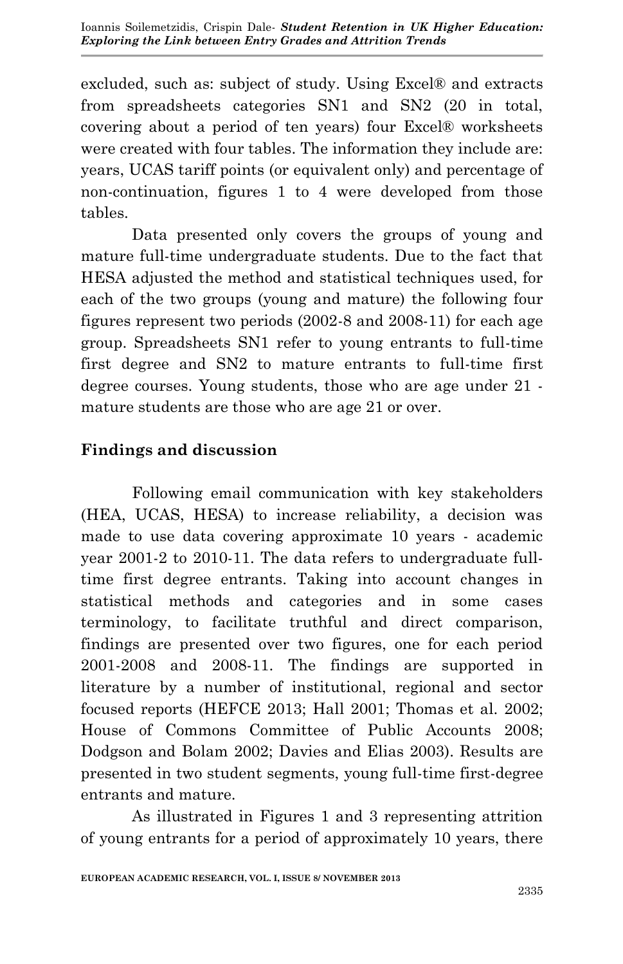excluded, such as: subject of study. Using Excel® and extracts from spreadsheets categories SN1 and SN2 (20 in total, covering about a period of ten years) four Excel® worksheets were created with four tables. The information they include are: years, UCAS tariff points (or equivalent only) and percentage of non-continuation, figures 1 to 4 were developed from those tables.

Data presented only covers the groups of young and mature full-time undergraduate students. Due to the fact that HESA adjusted the method and statistical techniques used, for each of the two groups (young and mature) the following four figures represent two periods (2002-8 and 2008-11) for each age group. Spreadsheets SN1 refer to young entrants to full-time first degree and SN2 to mature entrants to full-time first degree courses. Young students, those who are age under 21 mature students are those who are age 21 or over.

## **Findings and discussion**

Following email communication with key stakeholders (HEA, UCAS, HESA) to increase reliability, a decision was made to use data covering approximate 10 years - academic year 2001-2 to 2010-11. The data refers to undergraduate fulltime first degree entrants. Taking into account changes in statistical methods and categories and in some cases terminology, to facilitate truthful and direct comparison, findings are presented over two figures, one for each period 2001-2008 and 2008-11. The findings are supported in literature by a number of institutional, regional and sector focused reports (HEFCE 2013; Hall 2001; Thomas et al. 2002; House of Commons Committee of Public Accounts 2008; Dodgson and Bolam 2002; Davies and Elias 2003). Results are presented in two student segments, young full-time first-degree entrants and mature.

As illustrated in Figures 1 and 3 representing attrition of young entrants for a period of approximately 10 years, there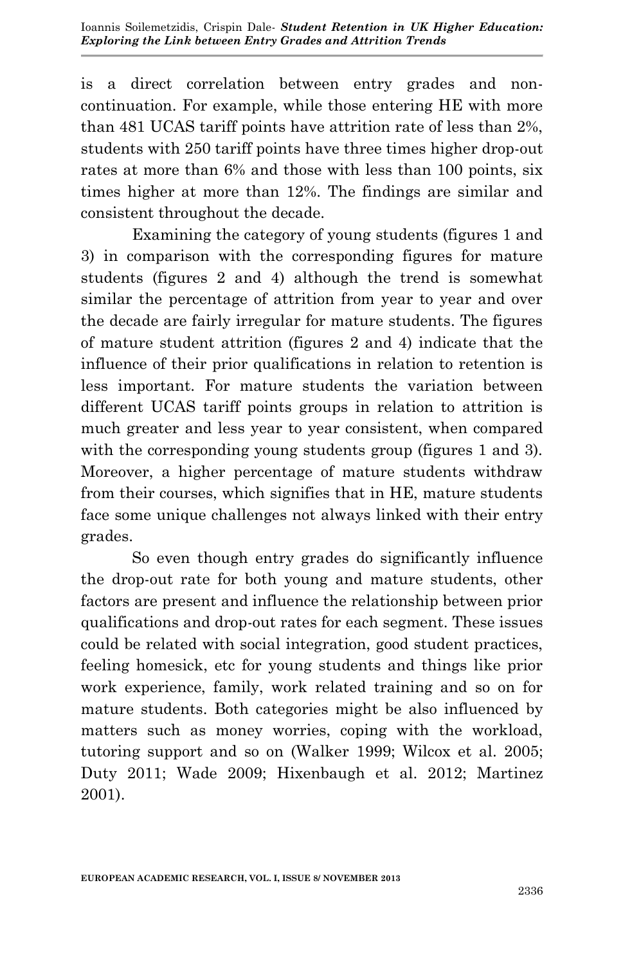is a direct correlation between entry grades and noncontinuation. For example, while those entering HE with more than 481 UCAS tariff points have attrition rate of less than 2%, students with 250 tariff points have three times higher drop-out rates at more than 6% and those with less than 100 points, six times higher at more than 12%. The findings are similar and consistent throughout the decade.

Examining the category of young students (figures 1 and 3) in comparison with the corresponding figures for mature students (figures 2 and 4) although the trend is somewhat similar the percentage of attrition from year to year and over the decade are fairly irregular for mature students. The figures of mature student attrition (figures 2 and 4) indicate that the influence of their prior qualifications in relation to retention is less important. For mature students the variation between different UCAS tariff points groups in relation to attrition is much greater and less year to year consistent, when compared with the corresponding young students group (figures 1 and 3). Moreover, a higher percentage of mature students withdraw from their courses, which signifies that in HE, mature students face some unique challenges not always linked with their entry grades.

So even though entry grades do significantly influence the drop-out rate for both young and mature students, other factors are present and influence the relationship between prior qualifications and drop-out rates for each segment. These issues could be related with social integration, good student practices, feeling homesick, etc for young students and things like prior work experience, family, work related training and so on for mature students. Both categories might be also influenced by matters such as money worries, coping with the workload, tutoring support and so on (Walker 1999; Wilcox et al. 2005; Duty 2011; Wade 2009; Hixenbaugh et al. 2012; Martinez 2001).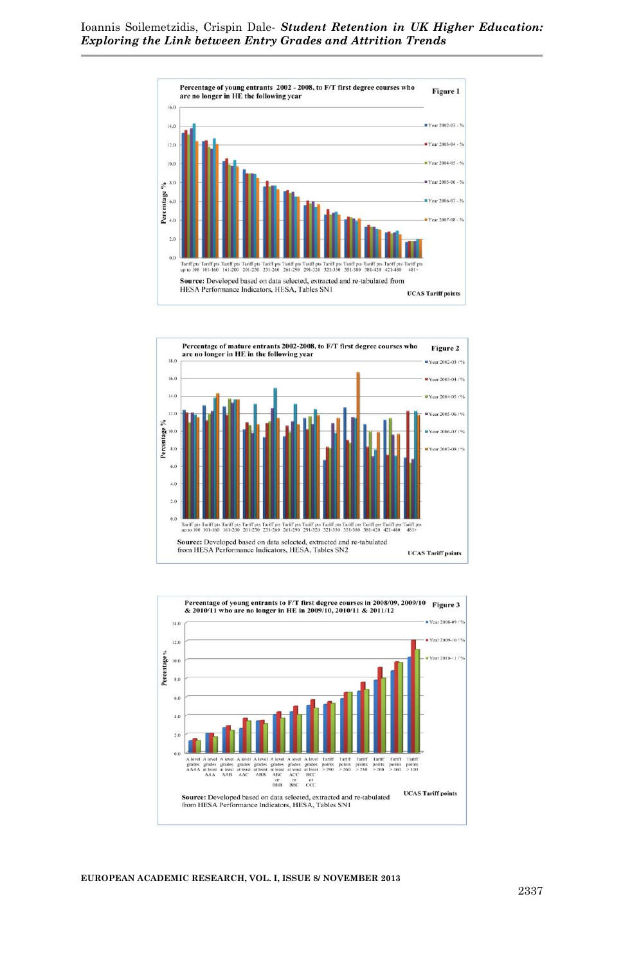





**EUROPEAN ACADEMIC RESEARCH, VOL. I, ISSUE 8/ NOVEMBER 2013**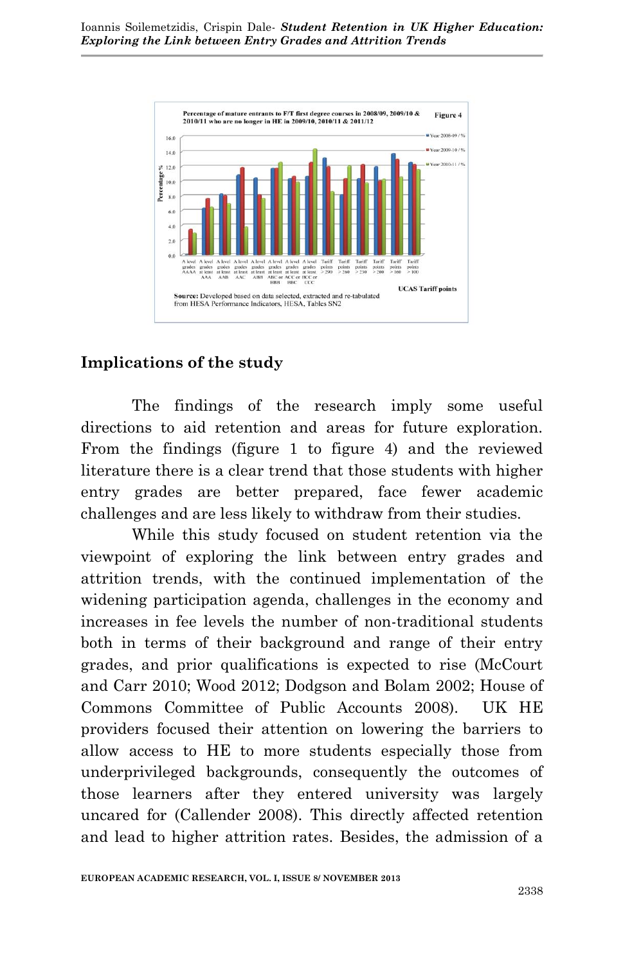

#### **Implications of the study**

The findings of the research imply some useful directions to aid retention and areas for future exploration. From the findings (figure 1 to figure 4) and the reviewed literature there is a clear trend that those students with higher entry grades are better prepared, face fewer academic challenges and are less likely to withdraw from their studies.

While this study focused on student retention via the viewpoint of exploring the link between entry grades and attrition trends, with the continued implementation of the widening participation agenda, challenges in the economy and increases in fee levels the number of non-traditional students both in terms of their background and range of their entry grades, and prior qualifications is expected to rise (McCourt and Carr 2010; Wood 2012; Dodgson and Bolam 2002; House of Commons Committee of Public Accounts 2008). UK HE providers focused their attention on lowering the barriers to allow access to HE to more students especially those from underprivileged backgrounds, consequently the outcomes of those learners after they entered university was largely uncared for (Callender 2008). This directly affected retention and lead to higher attrition rates. Besides, the admission of a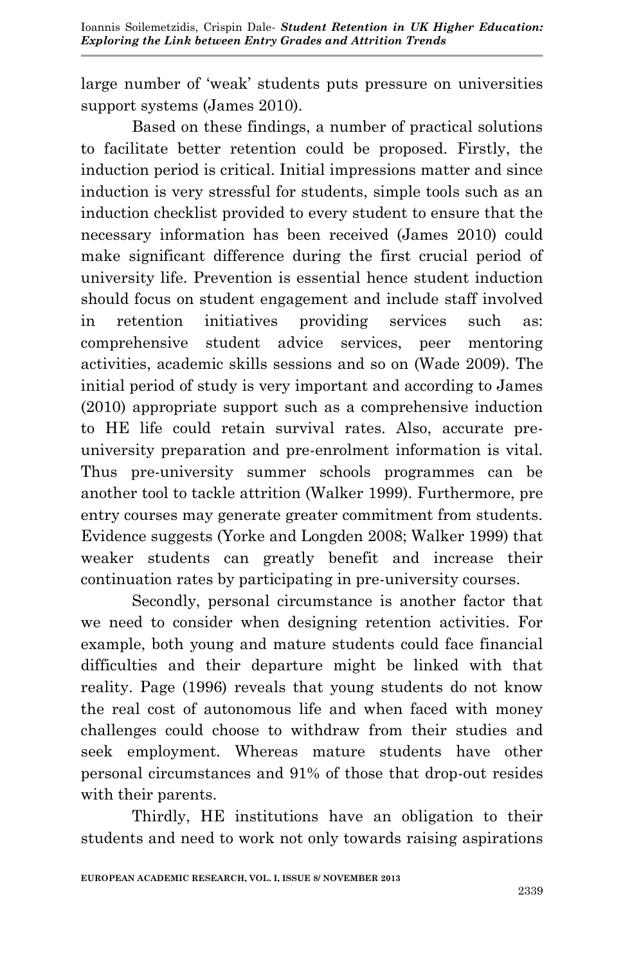large number of 'weak' students puts pressure on universities support systems (James 2010).

Based on these findings, a number of practical solutions to facilitate better retention could be proposed. Firstly, the induction period is critical. Initial impressions matter and since induction is very stressful for students, simple tools such as an induction checklist provided to every student to ensure that the necessary information has been received (James 2010) could make significant difference during the first crucial period of university life. Prevention is essential hence student induction should focus on student engagement and include staff involved in retention initiatives providing services such as: comprehensive student advice services, peer mentoring activities, academic skills sessions and so on (Wade 2009). The initial period of study is very important and according to James (2010) appropriate support such as a comprehensive induction to HE life could retain survival rates. Also, accurate preuniversity preparation and pre-enrolment information is vital. Thus pre-university summer schools programmes can be another tool to tackle attrition (Walker 1999). Furthermore, pre entry courses may generate greater commitment from students. Evidence suggests (Yorke and Longden 2008; Walker 1999) that weaker students can greatly benefit and increase their continuation rates by participating in pre-university courses.

Secondly, personal circumstance is another factor that we need to consider when designing retention activities. For example, both young and mature students could face financial difficulties and their departure might be linked with that reality. Page (1996) reveals that young students do not know the real cost of autonomous life and when faced with money challenges could choose to withdraw from their studies and seek employment. Whereas mature students have other personal circumstances and 91% of those that drop-out resides with their parents.

Thirdly, HE institutions have an obligation to their students and need to work not only towards raising aspirations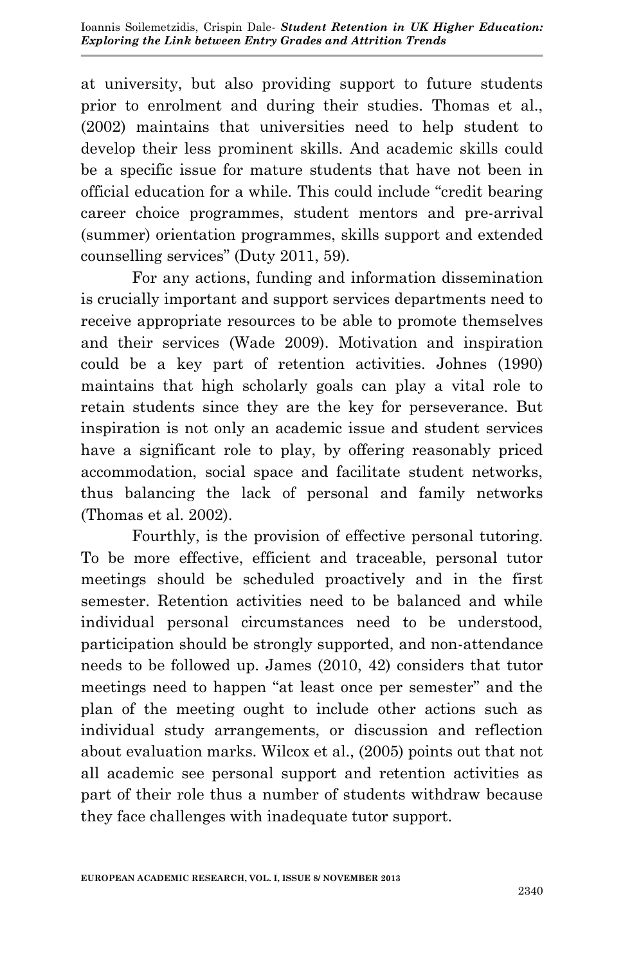at university, but also providing support to future students prior to enrolment and during their studies. Thomas et al., (2002) maintains that universities need to help student to develop their less prominent skills. And academic skills could be a specific issue for mature students that have not been in official education for a while. This could include "credit bearing career choice programmes, student mentors and pre-arrival (summer) orientation programmes, skills support and extended counselling services" (Duty 2011, 59).

For any actions, funding and information dissemination is crucially important and support services departments need to receive appropriate resources to be able to promote themselves and their services (Wade 2009). Motivation and inspiration could be a key part of retention activities. Johnes (1990) maintains that high scholarly goals can play a vital role to retain students since they are the key for perseverance. But inspiration is not only an academic issue and student services have a significant role to play, by offering reasonably priced accommodation, social space and facilitate student networks, thus balancing the lack of personal and family networks (Thomas et al. 2002).

Fourthly, is the provision of effective personal tutoring. To be more effective, efficient and traceable, personal tutor meetings should be scheduled proactively and in the first semester. Retention activities need to be balanced and while individual personal circumstances need to be understood, participation should be strongly supported, and non-attendance needs to be followed up. James (2010, 42) considers that tutor meetings need to happen "at least once per semester" and the plan of the meeting ought to include other actions such as individual study arrangements, or discussion and reflection about evaluation marks. Wilcox et al., (2005) points out that not all academic see personal support and retention activities as part of their role thus a number of students withdraw because they face challenges with inadequate tutor support.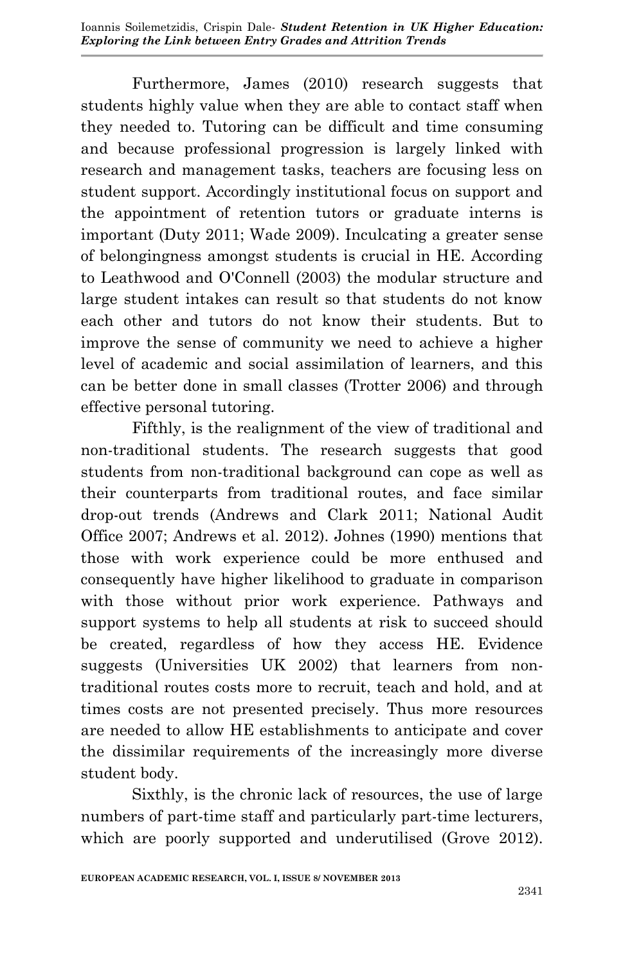Furthermore, James (2010) research suggests that students highly value when they are able to contact staff when they needed to. Tutoring can be difficult and time consuming and because professional progression is largely linked with research and management tasks, teachers are focusing less on student support. Accordingly institutional focus on support and the appointment of retention tutors or graduate interns is important (Duty 2011; Wade 2009). Inculcating a greater sense of belongingness amongst students is crucial in HE. According to Leathwood and O'Connell (2003) the modular structure and large student intakes can result so that students do not know each other and tutors do not know their students. But to improve the sense of community we need to achieve a higher level of academic and social assimilation of learners, and this can be better done in small classes (Trotter 2006) and through effective personal tutoring.

Fifthly, is the realignment of the view of traditional and non-traditional students. The research suggests that good students from non-traditional background can cope as well as their counterparts from traditional routes, and face similar drop-out trends (Andrews and Clark 2011; National Audit Office 2007; Andrews et al. 2012). Johnes (1990) mentions that those with work experience could be more enthused and consequently have higher likelihood to graduate in comparison with those without prior work experience. Pathways and support systems to help all students at risk to succeed should be created, regardless of how they access HE. Evidence suggests (Universities UK 2002) that learners from nontraditional routes costs more to recruit, teach and hold, and at times costs are not presented precisely. Thus more resources are needed to allow HE establishments to anticipate and cover the dissimilar requirements of the increasingly more diverse student body.

Sixthly, is the chronic lack of resources, the use of large numbers of part-time staff and particularly part-time lecturers, which are poorly supported and underutilised (Grove 2012).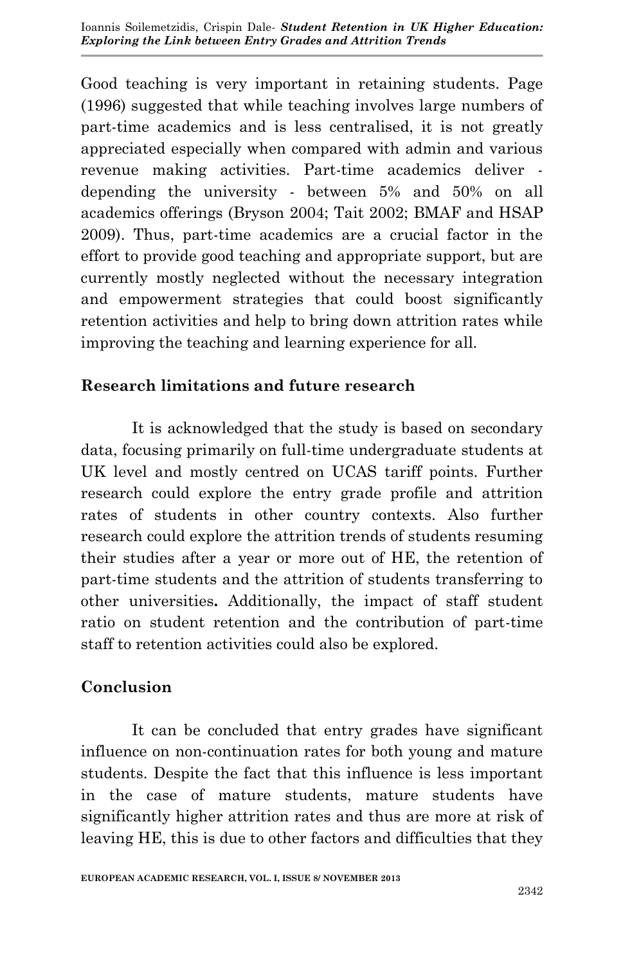Good teaching is very important in retaining students. Page (1996) suggested that while teaching involves large numbers of part-time academics and is less centralised, it is not greatly appreciated especially when compared with admin and various revenue making activities. Part-time academics deliver depending the university - between 5% and 50% on all academics offerings (Bryson 2004; Tait 2002; BMAF and HSAP 2009). Thus, part-time academics are a crucial factor in the effort to provide good teaching and appropriate support, but are currently mostly neglected without the necessary integration and empowerment strategies that could boost significantly retention activities and help to bring down attrition rates while improving the teaching and learning experience for all.

## **Research limitations and future research**

It is acknowledged that the study is based on secondary data, focusing primarily on full-time undergraduate students at UK level and mostly centred on UCAS tariff points. Further research could explore the entry grade profile and attrition rates of students in other country contexts. Also further research could explore the attrition trends of students resuming their studies after a year or more out of HE, the retention of part-time students and the attrition of students transferring to other universities**.** Additionally, the impact of staff student ratio on student retention and the contribution of part-time staff to retention activities could also be explored.

#### **Conclusion**

It can be concluded that entry grades have significant influence on non-continuation rates for both young and mature students. Despite the fact that this influence is less important in the case of mature students, mature students have significantly higher attrition rates and thus are more at risk of leaving HE, this is due to other factors and difficulties that they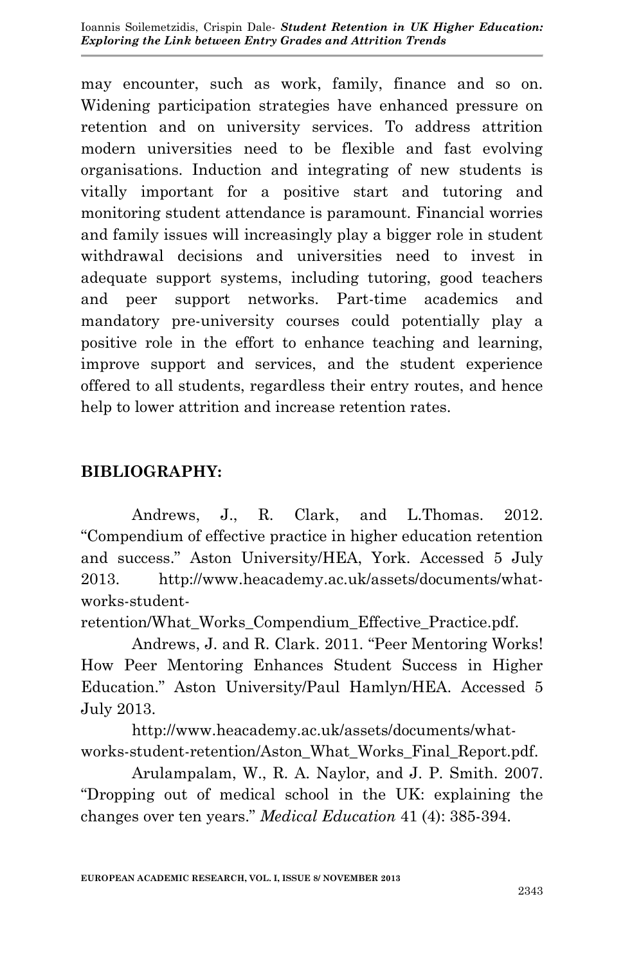may encounter, such as work, family, finance and so on. Widening participation strategies have enhanced pressure on retention and on university services. To address attrition modern universities need to be flexible and fast evolving organisations. Induction and integrating of new students is vitally important for a positive start and tutoring and monitoring student attendance is paramount. Financial worries and family issues will increasingly play a bigger role in student withdrawal decisions and universities need to invest in adequate support systems, including tutoring, good teachers and peer support networks. Part-time academics and mandatory pre-university courses could potentially play a positive role in the effort to enhance teaching and learning, improve support and services, and the student experience offered to all students, regardless their entry routes, and hence help to lower attrition and increase retention rates.

## **BIBLIOGRAPHY:**

Andrews, J., R. Clark, and L.Thomas. 2012. "Compendium of effective practice in higher education retention and success." Aston University/HEA, York. Accessed 5 July 2013. http://www.heacademy.ac.uk/assets/documents/whatworks-student-

retention/What\_Works\_Compendium\_Effective\_Practice.pdf.

Andrews, J. and R. Clark. 2011. "Peer Mentoring Works! How Peer Mentoring Enhances Student Success in Higher Education." Aston University/Paul Hamlyn/HEA. Accessed 5 July 2013.

http://www.heacademy.ac.uk/assets/documents/whatworks-student-retention/Aston\_What\_Works\_Final\_Report.pdf.

Arulampalam, W., R. A. Naylor, and J. P. Smith. 2007. "Dropping out of medical school in the UK: explaining the changes over ten years." *Medical Education* 41 (4): 385-394.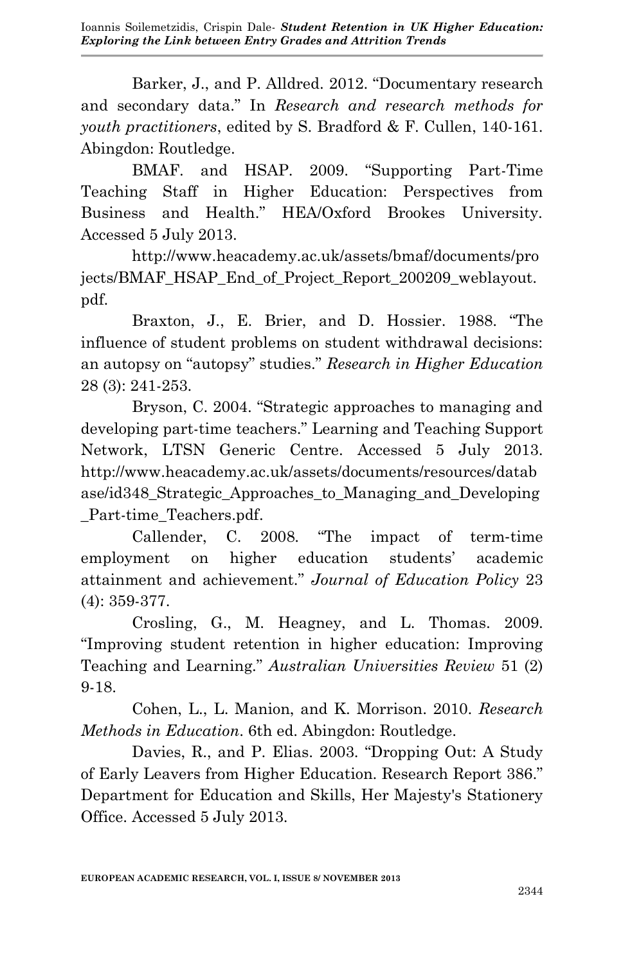Ioannis Soilemetzidis, Crispin Dale- *Student Retention in UK Higher Education: Exploring the Link between Entry Grades and Attrition Trends*

Barker, J., and P. Alldred. 2012. "Documentary research and secondary data." In *Research and research methods for youth practitioners*, edited by S. Bradford & F. Cullen, 140-161. Abingdon: Routledge.

BMAF. and HSAP. 2009. "Supporting Part-Time Teaching Staff in Higher Education: Perspectives from Business and Health." HEA/Oxford Brookes University. Accessed 5 July 2013.

http://www.heacademy.ac.uk/assets/bmaf/documents/pro jects/BMAF\_HSAP\_End\_of\_Project\_Report\_200209\_weblayout. pdf.

Braxton, J., E. Brier, and D. Hossier. 1988. "The influence of student problems on student withdrawal decisions: an autopsy on "autopsy" studies." *Research in Higher Education* 28 (3): 241-253.

Bryson, C. 2004. "Strategic approaches to managing and developing part-time teachers." Learning and Teaching Support Network, LTSN Generic Centre. Accessed 5 July 2013. http://www.heacademy.ac.uk/assets/documents/resources/datab ase/id348\_Strategic\_Approaches\_to\_Managing\_and\_Developing Part-time\_Teachers.pdf.

Callender, C. 2008. "The impact of term-time employment on higher education students' academic attainment and achievement." *Journal of Education Policy* 23 (4): 359-377.

Crosling, G., M. Heagney, and L. Thomas. 2009. "Improving student retention in higher education: Improving Teaching and Learning." *Australian Universities Review* 51 (2) 9-18.

Cohen, L., L. Manion, and K. Morrison. 2010. *Research Methods in Education*. 6th ed. Abingdon: Routledge.

Davies, R., and P. Elias. 2003. "Dropping Out: A Study of Early Leavers from Higher Education. Research Report 386." Department for Education and Skills, Her Majesty's Stationery Office. Accessed 5 July 2013.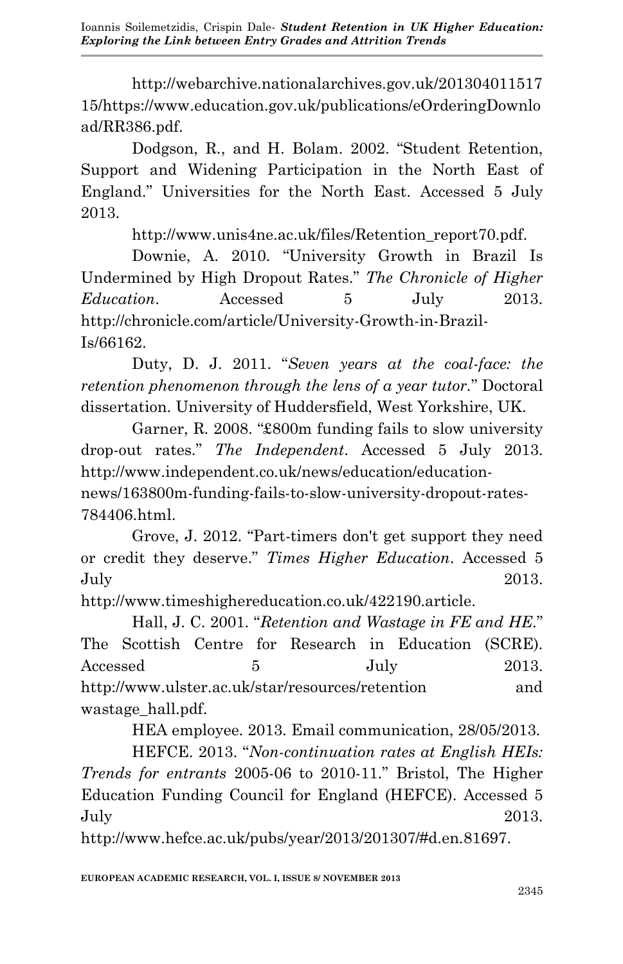Ioannis Soilemetzidis, Crispin Dale- *Student Retention in UK Higher Education: Exploring the Link between Entry Grades and Attrition Trends*

http://webarchive.nationalarchives.gov.uk/201304011517 15/https://www.education.gov.uk/publications/eOrderingDownlo ad/RR386.pdf.

Dodgson, R., and H. Bolam. 2002. "Student Retention, Support and Widening Participation in the North East of England." Universities for the North East. Accessed 5 July 2013.

http://www.unis4ne.ac.uk/files/Retention\_report70.pdf.

Downie, A. 2010. "University Growth in Brazil Is Undermined by High Dropout Rates." *The Chronicle of Higher Education*. Accessed 5 July 2013. http://chronicle.com/article/University-Growth-in-Brazil-Is/66162.

Duty, D. J. 2011. "*Seven years at the coal-face: the retention phenomenon through the lens of a year tutor.*" Doctoral dissertation. University of Huddersfield, West Yorkshire, UK.

Garner, R. 2008. "£800m funding fails to slow university drop-out rates." *The Independent*. Accessed 5 July 2013. http://www.independent.co.uk/news/education/education-

news/163800m-funding-fails-to-slow-university-dropout-rates-784406.html.

Grove, J. 2012. "Part-timers don't get support they need or credit they deserve." *Times Higher Education*. Accessed 5 July 2013.

http://www.timeshighereducation.co.uk/422190.article.

Hall, J. C. 2001. "*Retention and Wastage in FE and HE.*" The Scottish Centre for Research in Education (SCRE). Accessed 5 July 2013. http://www.ulster.ac.uk/star/resources/retention and wastage\_hall.pdf.

HEA employee. 2013. Email communication, 28/05/2013.

HEFCE. 2013. "*Non-continuation rates at English HEIs: Trends for entrants* 2005-06 to 2010-11." Bristol, The Higher Education Funding Council for England (HEFCE). Accessed 5 July 2013.

http://www.hefce.ac.uk/pubs/year/2013/201307/#d.en.81697.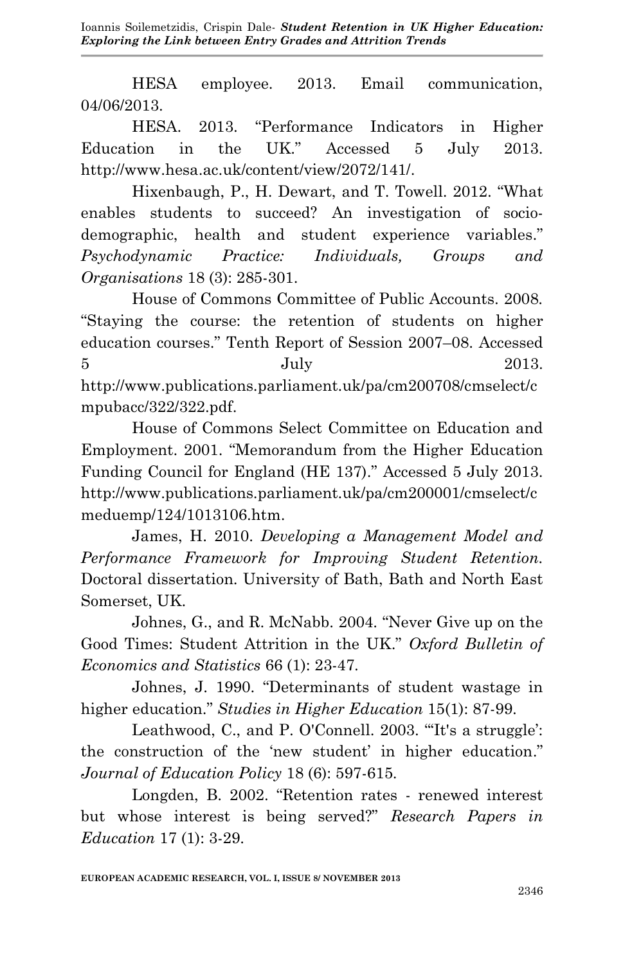HESA employee. 2013. Email communication, 04/06/2013.

HESA. 2013. "Performance Indicators in Higher Education in the UK." Accessed 5 July 2013. http://www.hesa.ac.uk/content/view/2072/141/.

Hixenbaugh, P., H. Dewart, and T. Towell. 2012. "What enables students to succeed? An investigation of sociodemographic, health and student experience variables." *Psychodynamic Practice: Individuals, Groups and Organisations* 18 (3): 285-301.

House of Commons Committee of Public Accounts. 2008. "Staying the course: the retention of students on higher education courses." Tenth Report of Session 2007–08. Accessed  $5$  July 2013. http://www.publications.parliament.uk/pa/cm200708/cmselect/c mpubacc/322/322.pdf.

House of Commons Select Committee on Education and Employment. 2001. "Memorandum from the Higher Education Funding Council for England (HE 137)." Accessed 5 July 2013. http://www.publications.parliament.uk/pa/cm200001/cmselect/c meduemp/124/1013106.htm.

James, H. 2010. *Developing a Management Model and Performance Framework for Improving Student Retention.* Doctoral dissertation. University of Bath, Bath and North East Somerset, UK.

Johnes, G., and R. McNabb. 2004. "Never Give up on the Good Times: Student Attrition in the UK." *Oxford Bulletin of Economics and Statistics* 66 (1): 23-47.

Johnes, J. 1990. "Determinants of student wastage in higher education." *Studies in Higher Education* 15(1): 87-99.

Leathwood, C., and P. O'Connell. 2003. "'It's a struggle': the construction of the 'new student' in higher education." *Journal of Education Policy* 18 (6): 597-615.

Longden, B. 2002. "Retention rates - renewed interest but whose interest is being served?" *Research Papers in Education* 17 (1): 3-29.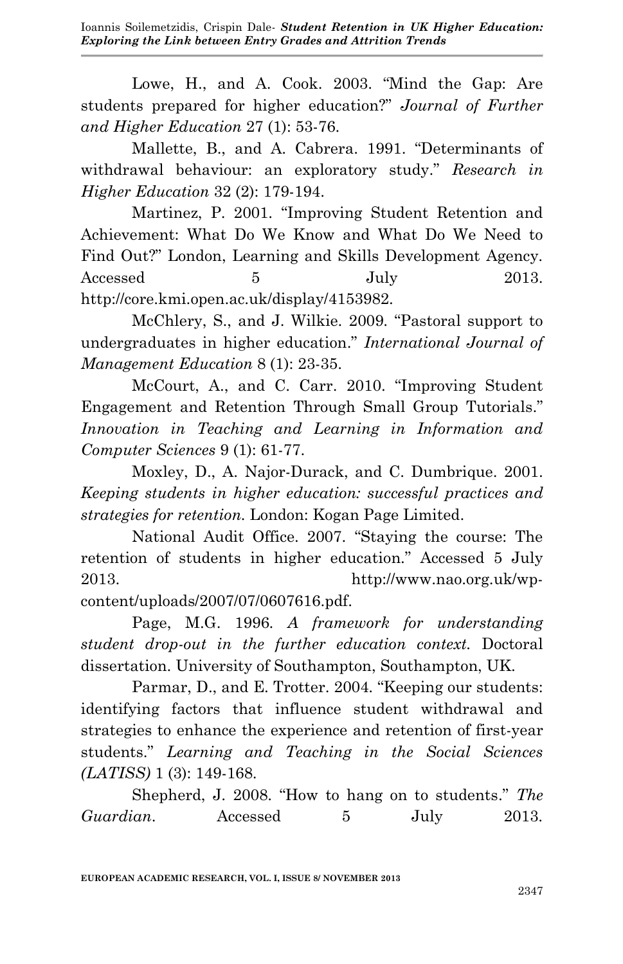Lowe, H., and A. Cook. 2003. "Mind the Gap: Are students prepared for higher education?" *Journal of Further and Higher Education* 27 (1): 53-76.

Mallette, B., and A. Cabrera. 1991. "Determinants of withdrawal behaviour: an exploratory study." *Research in Higher Education* 32 (2): 179-194.

Martinez, P. 2001. "Improving Student Retention and Achievement: What Do We Know and What Do We Need to Find Out?" London, Learning and Skills Development Agency. Accessed 5 July 2013. http://core.kmi.open.ac.uk/display/4153982.

McChlery, S., and J. Wilkie. 2009. "Pastoral support to undergraduates in higher education." *International Journal of Management Education* 8 (1): 23-35.

McCourt, A., and C. Carr. 2010. "Improving Student Engagement and Retention Through Small Group Tutorials." *Innovation in Teaching and Learning in Information and Computer Sciences* 9 (1): 61-77.

Moxley, D., A. Najor-Durack, and C. Dumbrique. 2001. *Keeping students in higher education: successful practices and strategies for retention.* London: Kogan Page Limited.

National Audit Office. 2007. "Staying the course: The retention of students in higher education." Accessed 5 July 2013. http://www.nao.org.uk/wpcontent/uploads/2007/07/0607616.pdf.

Page, M.G. 1996. *A framework for understanding student drop-out in the further education context.* Doctoral dissertation. University of Southampton, Southampton, UK.

Parmar, D., and E. Trotter. 2004. "Keeping our students: identifying factors that influence student withdrawal and strategies to enhance the experience and retention of first-year students." *Learning and Teaching in the Social Sciences (LATISS)* 1 (3): 149-168.

Shepherd, J. 2008. "How to hang on to students." *The Guardian*. Accessed 5 July 2013.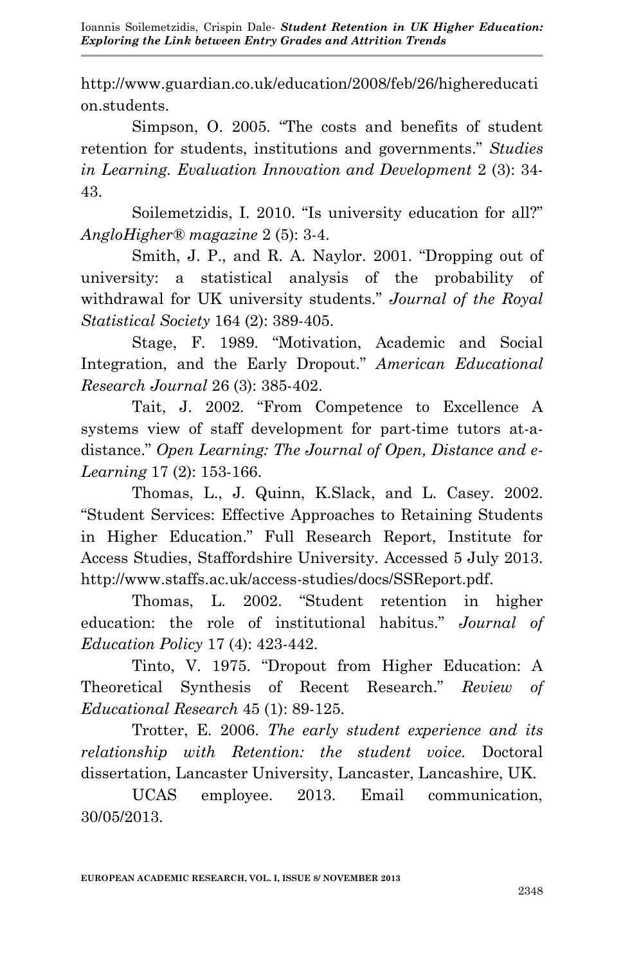Ioannis Soilemetzidis, Crispin Dale- *Student Retention in UK Higher Education: Exploring the Link between Entry Grades and Attrition Trends*

http://www.guardian.co.uk/education/2008/feb/26/highereducati on.students.

Simpson, O. 2005. "The costs and benefits of student retention for students, institutions and governments." *Studies in Learning. Evaluation Innovation and Development* 2 (3): 34- 43.

Soilemetzidis, I. 2010. "Is university education for all?" *AngloHigher® magazine* 2 (5): 3-4.

Smith, J. P., and R. A. Naylor. 2001. "Dropping out of university: a statistical analysis of the probability of withdrawal for UK university students." *Journal of the Royal Statistical Society* 164 (2): 389-405.

Stage, F. 1989. "Motivation, Academic and Social Integration, and the Early Dropout." *American Educational Research Journal* 26 (3): 385-402.

Tait, J. 2002. "From Competence to Excellence A systems view of staff development for part-time tutors at-adistance." *Open Learning: The Journal of Open, Distance and e-Learning* 17 (2): 153-166.

Thomas, L., J. Quinn, K.Slack, and L. Casey. 2002. "Student Services: Effective Approaches to Retaining Students in Higher Education." Full Research Report, Institute for Access Studies, Staffordshire University. Accessed 5 July 2013. http://www.staffs.ac.uk/access-studies/docs/SSReport.pdf.

Thomas, L. 2002. "Student retention in higher education: the role of institutional habitus." *Journal of Education Policy* 17 (4): 423-442.

Tinto, V. 1975. "Dropout from Higher Education: A Theoretical Synthesis of Recent Research." *Review of Educational Research* 45 (1): 89-125.

Trotter, E. 2006. *The early student experience and its relationship with Retention: the student voice.* Doctoral dissertation, Lancaster University, Lancaster, Lancashire, UK.

UCAS employee. 2013. Email communication, 30/05/2013.